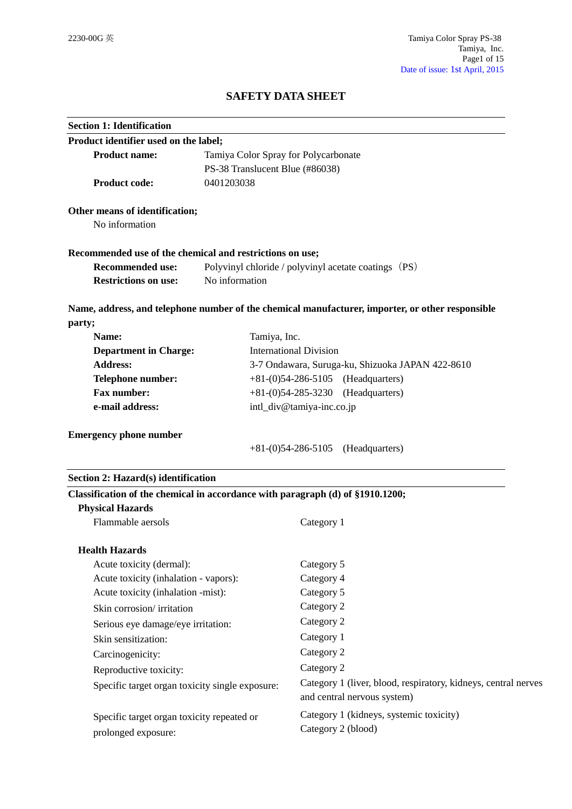# **SAFETY DATA SHEET**

| <b>Section 1: Identification</b>                                                                          |                                                      |                                                                                                  |  |  |
|-----------------------------------------------------------------------------------------------------------|------------------------------------------------------|--------------------------------------------------------------------------------------------------|--|--|
| Product identifier used on the label;                                                                     |                                                      |                                                                                                  |  |  |
| <b>Product name:</b><br>Tamiya Color Spray for Polycarbonate                                              |                                                      |                                                                                                  |  |  |
| PS-38 Translucent Blue (#86038)                                                                           |                                                      |                                                                                                  |  |  |
| <b>Product code:</b>                                                                                      | 0401203038                                           |                                                                                                  |  |  |
| Other means of identification;<br>No information                                                          |                                                      |                                                                                                  |  |  |
|                                                                                                           |                                                      |                                                                                                  |  |  |
| Recommended use of the chemical and restrictions on use;                                                  |                                                      |                                                                                                  |  |  |
| <b>Recommended use:</b>                                                                                   | Polyvinyl chloride / polyvinyl acetate coatings (PS) |                                                                                                  |  |  |
| <b>Restrictions on use:</b>                                                                               | No information                                       |                                                                                                  |  |  |
|                                                                                                           |                                                      | Name, address, and telephone number of the chemical manufacturer, importer, or other responsible |  |  |
| party;                                                                                                    |                                                      |                                                                                                  |  |  |
| Name:                                                                                                     | Tamiya, Inc.                                         |                                                                                                  |  |  |
| <b>Department in Charge:</b>                                                                              |                                                      | <b>International Division</b>                                                                    |  |  |
| <b>Address:</b>                                                                                           |                                                      | 3-7 Ondawara, Suruga-ku, Shizuoka JAPAN 422-8610                                                 |  |  |
| Telephone number:                                                                                         | $+81-(0)54-286-5105$ (Headquarters)                  |                                                                                                  |  |  |
| <b>Fax number:</b>                                                                                        | $+81-(0)54-285-3230$<br>(Headquarters)               |                                                                                                  |  |  |
| e-mail address:                                                                                           |                                                      | intl_div@tamiya-inc.co.jp                                                                        |  |  |
| <b>Emergency phone number</b>                                                                             |                                                      | $+81-(0)54-286-5105$<br>(Headquarters)                                                           |  |  |
| Section 2: Hazard(s) identification                                                                       |                                                      |                                                                                                  |  |  |
| Classification of the chemical in accordance with paragraph (d) of §1910.1200;<br><b>Physical Hazards</b> |                                                      |                                                                                                  |  |  |
| Flammable aersols                                                                                         |                                                      | Category 1                                                                                       |  |  |
| <b>Health Hazards</b>                                                                                     |                                                      |                                                                                                  |  |  |
| Acute toxicity (dermal):                                                                                  |                                                      | Category 5                                                                                       |  |  |
| Acute toxicity (inhalation - vapors):                                                                     |                                                      | Category 4                                                                                       |  |  |
| Acute toxicity (inhalation -mist):                                                                        |                                                      | Category 5                                                                                       |  |  |
| Skin corrosion/irritation                                                                                 |                                                      | Category 2                                                                                       |  |  |
| Serious eye damage/eye irritation:                                                                        |                                                      | Category 2                                                                                       |  |  |
| Skin sensitization:                                                                                       |                                                      | Category 1                                                                                       |  |  |
| Carcinogenicity:                                                                                          |                                                      | Category 2                                                                                       |  |  |
| Reproductive toxicity:                                                                                    |                                                      | Category 2                                                                                       |  |  |
| Specific target organ toxicity single exposure:                                                           |                                                      | Category 1 (liver, blood, respiratory, kidneys, central nerves<br>and central nervous system)    |  |  |
| Specific target organ toxicity repeated or<br>prolonged exposure:                                         |                                                      | Category 1 (kidneys, systemic toxicity)<br>Category 2 (blood)                                    |  |  |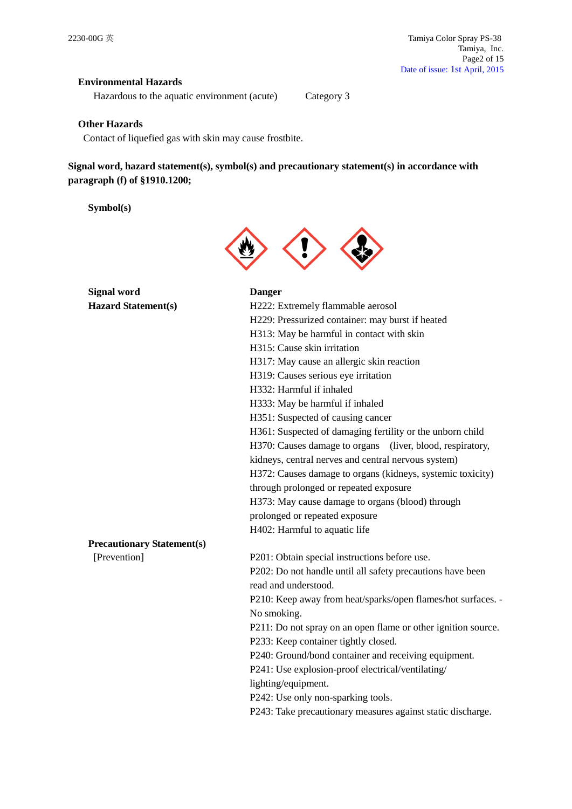# **Environmental Hazards**

Hazardous to the aquatic environment (acute) Category 3

## **Other Hazards**

Contact of liquefied gas with skin may cause frostbite.

**Signal word, hazard statement(s), symbol(s) and precautionary statement(s) in accordance with paragraph (f) of §1910.1200;**

**Symbol(s)**



| <b>Signal word</b>                | <b>Danger</b>                                                 |  |  |
|-----------------------------------|---------------------------------------------------------------|--|--|
| <b>Hazard Statement(s)</b>        | H222: Extremely flammable aerosol                             |  |  |
|                                   | H229: Pressurized container: may burst if heated              |  |  |
|                                   | H313: May be harmful in contact with skin                     |  |  |
|                                   | H315: Cause skin irritation                                   |  |  |
|                                   | H317: May cause an allergic skin reaction                     |  |  |
|                                   | H319: Causes serious eye irritation                           |  |  |
|                                   | H332: Harmful if inhaled                                      |  |  |
|                                   | H333: May be harmful if inhaled                               |  |  |
|                                   | H351: Suspected of causing cancer                             |  |  |
|                                   | H361: Suspected of damaging fertility or the unborn child     |  |  |
|                                   | H370: Causes damage to organs (liver, blood, respiratory,     |  |  |
|                                   | kidneys, central nerves and central nervous system)           |  |  |
|                                   | H372: Causes damage to organs (kidneys, systemic toxicity)    |  |  |
|                                   | through prolonged or repeated exposure                        |  |  |
|                                   | H373: May cause damage to organs (blood) through              |  |  |
|                                   | prolonged or repeated exposure                                |  |  |
|                                   | H402: Harmful to aquatic life                                 |  |  |
| <b>Precautionary Statement(s)</b> |                                                               |  |  |
| [Prevention]                      | P201: Obtain special instructions before use.                 |  |  |
|                                   | P202: Do not handle until all safety precautions have been    |  |  |
|                                   | read and understood.                                          |  |  |
|                                   | P210: Keep away from heat/sparks/open flames/hot surfaces. -  |  |  |
|                                   | No smoking.                                                   |  |  |
|                                   | P211: Do not spray on an open flame or other ignition source. |  |  |
|                                   | P233: Keep container tightly closed.                          |  |  |
|                                   | P240: Ground/bond container and receiving equipment.          |  |  |
|                                   | P241: Use explosion-proof electrical/ventilating/             |  |  |
|                                   | lighting/equipment.                                           |  |  |
|                                   | P242: Use only non-sparking tools.                            |  |  |
|                                   | P243: Take precautionary measures against static discharge.   |  |  |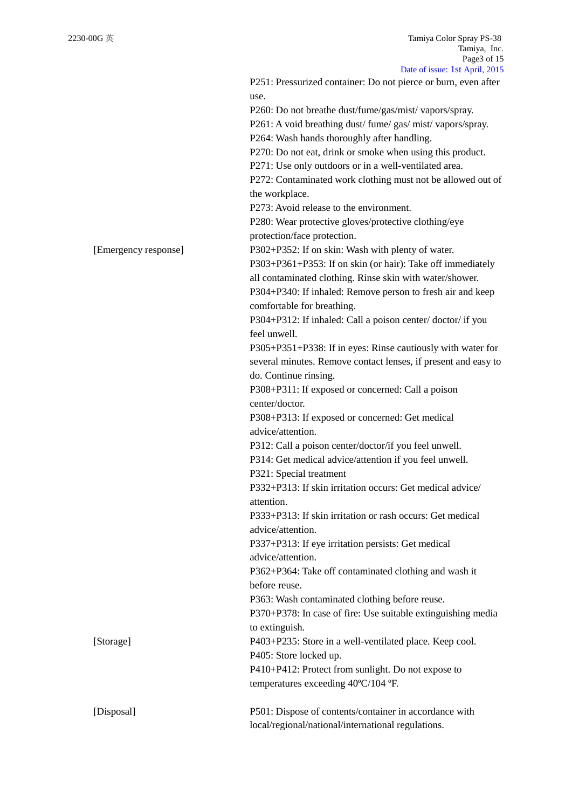|                      | P251: Pressurized container: Do not pierce or burn, even after |
|----------------------|----------------------------------------------------------------|
|                      | use.                                                           |
|                      | P260: Do not breathe dust/fume/gas/mist/ vapors/spray.         |
|                      | P261: A void breathing dust/fume/gas/mist/vapors/spray.        |
|                      | P264: Wash hands thoroughly after handling.                    |
|                      |                                                                |
|                      | P270: Do not eat, drink or smoke when using this product.      |
|                      | P271: Use only outdoors or in a well-ventilated area.          |
|                      | P272: Contaminated work clothing must not be allowed out of    |
|                      | the workplace.                                                 |
|                      | P273: Avoid release to the environment.                        |
|                      | P280: Wear protective gloves/protective clothing/eye           |
|                      | protection/face protection.                                    |
| [Emergency response] | P302+P352: If on skin: Wash with plenty of water.              |
|                      | P303+P361+P353: If on skin (or hair): Take off immediately     |
|                      | all contaminated clothing. Rinse skin with water/shower.       |
|                      |                                                                |
|                      | P304+P340: If inhaled: Remove person to fresh air and keep     |
|                      | comfortable for breathing.                                     |
|                      | P304+P312: If inhaled: Call a poison center/doctor/if you      |
|                      | feel unwell.                                                   |
|                      | P305+P351+P338: If in eyes: Rinse cautiously with water for    |
|                      | several minutes. Remove contact lenses, if present and easy to |
|                      | do. Continue rinsing.                                          |
|                      | P308+P311: If exposed or concerned: Call a poison              |
|                      | center/doctor.                                                 |
|                      | P308+P313: If exposed or concerned: Get medical                |
|                      | advice/attention.                                              |
|                      | P312: Call a poison center/doctor/if you feel unwell.          |
|                      | P314: Get medical advice/attention if you feel unwell.         |
|                      | P321: Special treatment                                        |
|                      | P332+P313: If skin irritation occurs: Get medical advice/      |
|                      |                                                                |
|                      | attention.                                                     |
|                      | P333+P313: If skin irritation or rash occurs: Get medical      |
|                      | advice/attention.                                              |
|                      | P337+P313: If eye irritation persists: Get medical             |
|                      | advice/attention.                                              |
|                      | P362+P364: Take off contaminated clothing and wash it          |
|                      | before reuse.                                                  |
|                      | P363: Wash contaminated clothing before reuse.                 |
|                      | P370+P378: In case of fire: Use suitable extinguishing media   |
|                      | to extinguish.                                                 |
|                      | P403+P235: Store in a well-ventilated place. Keep cool.        |
| [Storage]            | P405: Store locked up.                                         |
|                      |                                                                |
|                      | P410+P412: Protect from sunlight. Do not expose to             |
|                      | temperatures exceeding 40°C/104 °F.                            |
|                      |                                                                |
| [Disposal]           | P501: Dispose of contents/container in accordance with         |
|                      | local/regional/national/international regulations.             |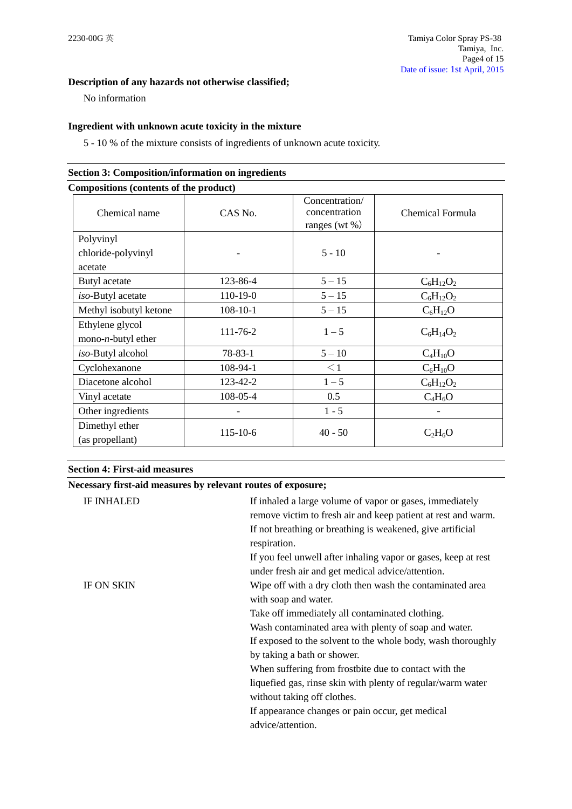# **Description of any hazards not otherwise classified;**

No information

## **Ingredient with unknown acute toxicity in the mixture**

5 - 10 % of the mixture consists of ingredients of unknown acute toxicity.

| Compositions (contents of the product)         |                |                                                  |                  |
|------------------------------------------------|----------------|--------------------------------------------------|------------------|
| Chemical name                                  | CAS No.        | Concentration/<br>concentration<br>ranges (wt %) | Chemical Formula |
| Polyvinyl                                      |                |                                                  |                  |
| chloride-polyvinyl<br>acetate                  |                | $5 - 10$                                         |                  |
| Butyl acetate                                  | 123-86-4       | $5 - 15$                                         | $C_6H_{12}O_2$   |
| iso-Butyl acetate                              | 110-19-0       | $5 - 15$                                         | $C_6H_{12}O_2$   |
| Methyl isobutyl ketone                         | $108 - 10 - 1$ | $5 - 15$                                         | $C_6H_{12}O$     |
| Ethylene glycol<br>mono- <i>n</i> -butyl ether | 111-76-2       | $1 - 5$                                          | $C_6H_{14}O_2$   |
| iso-Butyl alcohol                              | 78-83-1        | $5 - 10$                                         | $C_4H_{10}O$     |
| Cyclohexanone                                  | 108-94-1       | $\leq$ 1                                         | $C_6H_{10}O$     |
| Diacetone alcohol                              | 123-42-2       | $1 - 5$                                          | $C_6H_{12}O_2$   |
| Vinyl acetate                                  | 108-05-4       | 0.5                                              | $C_4H_6O$        |
| Other ingredients                              |                | $1 - 5$                                          |                  |
| Dimethyl ether<br>(as propellant)              | $115 - 10 - 6$ | $40 - 50$                                        | $C_2H_6O$        |

# **Section 3: Composition/information on ingredients**

## **Section 4: First-aid measures**

**Necessary first-aid measures by relevant routes of exposure;**

| <b>IF INHALED</b> | If inhaled a large volume of vapor or gases, immediately<br>remove victim to fresh air and keep patient at rest and warm.<br>If not breathing or breathing is weakened, give artificial<br>respiration.<br>If you feel unwell after inhaling vapor or gases, keep at rest<br>under fresh air and get medical advice/attention.                        |
|-------------------|-------------------------------------------------------------------------------------------------------------------------------------------------------------------------------------------------------------------------------------------------------------------------------------------------------------------------------------------------------|
| <b>IF ON SKIN</b> | Wipe off with a dry cloth then wash the contaminated area<br>with soap and water.<br>Take off immediately all contaminated clothing.<br>Wash contaminated area with plenty of soap and water.<br>If exposed to the solvent to the whole body, wash thoroughly<br>by taking a bath or shower.<br>When suffering from frostbite due to contact with the |
|                   | liquefied gas, rinse skin with plenty of regular/warm water<br>without taking off clothes.<br>If appearance changes or pain occur, get medical<br>advice/attention.                                                                                                                                                                                   |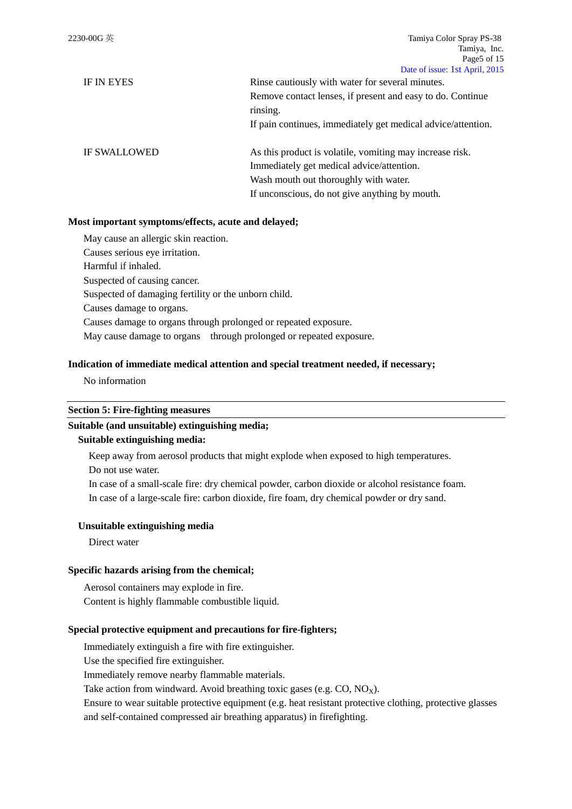| <b>IF IN EYES</b>   | Rinse cautiously with water for several minutes.             |  |  |
|---------------------|--------------------------------------------------------------|--|--|
|                     | Remove contact lenses, if present and easy to do. Continue   |  |  |
|                     | rinsing.                                                     |  |  |
|                     | If pain continues, immediately get medical advice/attention. |  |  |
| <b>IF SWALLOWED</b> | As this product is volatile, vomiting may increase risk.     |  |  |
|                     | Immediately get medical advice/attention.                    |  |  |
|                     | Wash mouth out thoroughly with water.                        |  |  |

If unconscious, do not give anything by mouth.

# **Most important symptoms/effects, acute and delayed;**

May cause an allergic skin reaction. Causes serious eye irritation. Harmful if inhaled. Suspected of causing cancer. Suspected of damaging fertility or the unborn child. Causes damage to organs. Causes damage to organs through prolonged or repeated exposure. May cause damage to organs through prolonged or repeated exposure.

## **Indication of immediate medical attention and special treatment needed, if necessary;**

No information

#### **Section 5: Fire-fighting measures**

## **Suitable (and unsuitable) extinguishing media;**

#### **Suitable extinguishing media:**

Keep away from aerosol products that might explode when exposed to high temperatures.

Do not use water.

In case of a small-scale fire: dry chemical powder, carbon dioxide or alcohol resistance foam.

In case of a large-scale fire: carbon dioxide, fire foam, dry chemical powder or dry sand.

## **Unsuitable extinguishing media**

Direct water

#### **Specific hazards arising from the chemical;**

Aerosol containers may explode in fire. Content is highly flammable combustible liquid.

## **Special protective equipment and precautions for fire-fighters;**

Immediately extinguish a fire with fire extinguisher.

Use the specified fire extinguisher.

Immediately remove nearby flammable materials.

Take action from windward. Avoid breathing toxic gases (e.g.  $CO$ ,  $NO<sub>X</sub>$ ).

Ensure to wear suitable protective equipment (e.g. heat resistant protective clothing, protective glasses and self-contained compressed air breathing apparatus) in firefighting.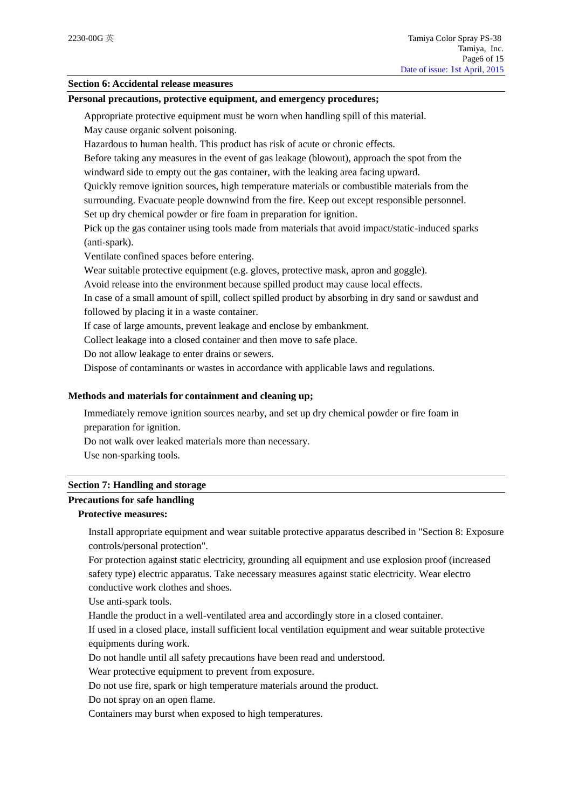## **Section 6: Accidental release measures**

## **Personal precautions, protective equipment, and emergency procedures;**

Appropriate protective equipment must be worn when handling spill of this material.

May cause organic solvent poisoning.

Hazardous to human health. This product has risk of acute or chronic effects.

Before taking any measures in the event of gas leakage (blowout), approach the spot from the windward side to empty out the gas container, with the leaking area facing upward.

Quickly remove ignition sources, high temperature materials or combustible materials from the surrounding. Evacuate people downwind from the fire. Keep out except responsible personnel.

Set up dry chemical powder or fire foam in preparation for ignition.

Pick up the gas container using tools made from materials that avoid impact/static-induced sparks (anti-spark).

Ventilate confined spaces before entering.

Wear suitable protective equipment (e.g. gloves, protective mask, apron and goggle).

Avoid release into the environment because spilled product may cause local effects.

In case of a small amount of spill, collect spilled product by absorbing in dry sand or sawdust and followed by placing it in a waste container.

If case of large amounts, prevent leakage and enclose by embankment.

Collect leakage into a closed container and then move to safe place.

Do not allow leakage to enter drains or sewers.

Dispose of contaminants or wastes in accordance with applicable laws and regulations.

## **Methods and materials for containment and cleaning up;**

Immediately remove ignition sources nearby, and set up dry chemical powder or fire foam in preparation for ignition.

Do not walk over leaked materials more than necessary.

Use non-sparking tools.

#### **Section 7: Handling and storage**

# **Precautions for safe handling**

# **Protective measures:**

Install appropriate equipment and wear suitable protective apparatus described in "Section 8: Exposure controls/personal protection".

For protection against static electricity, grounding all equipment and use explosion proof (increased safety type) electric apparatus. Take necessary measures against static electricity. Wear electro conductive work clothes and shoes.

Use anti-spark tools.

Handle the product in a well-ventilated area and accordingly store in a closed container.

If used in a closed place, install sufficient local ventilation equipment and wear suitable protective equipments during work.

Do not handle until all safety precautions have been read and understood.

Wear protective equipment to prevent from exposure.

Do not use fire, spark or high temperature materials around the product.

Do not spray on an open flame.

Containers may burst when exposed to high temperatures.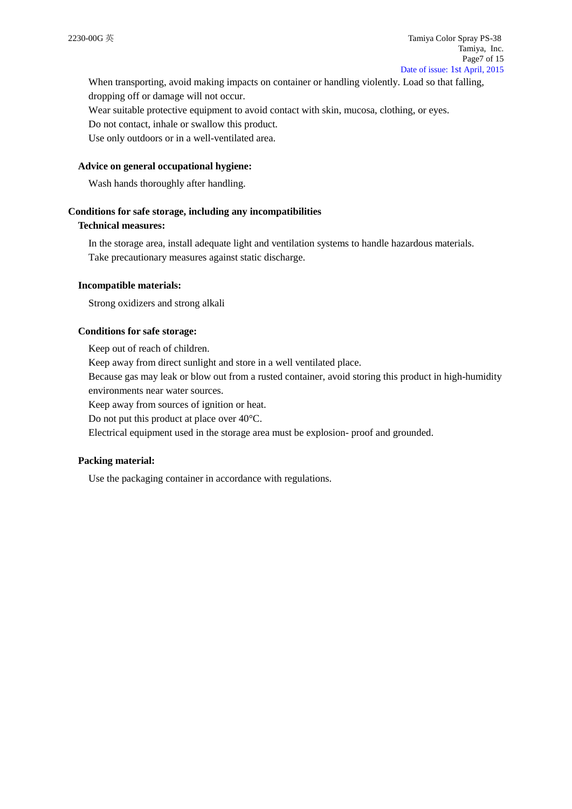When transporting, avoid making impacts on container or handling violently. Load so that falling, dropping off or damage will not occur.

Wear suitable protective equipment to avoid contact with skin, mucosa, clothing, or eyes.

Do not contact, inhale or swallow this product.

Use only outdoors or in a well-ventilated area.

#### **Advice on general occupational hygiene:**

Wash hands thoroughly after handling.

#### **Conditions for safe storage, including any incompatibilities**

# **Technical measures:**

In the storage area, install adequate light and ventilation systems to handle hazardous materials. Take precautionary measures against static discharge.

#### **Incompatible materials:**

Strong oxidizers and strong alkali

## **Conditions for safe storage:**

Keep out of reach of children.

Keep away from direct sunlight and store in a well ventilated place.

Because gas may leak or blow out from a rusted container, avoid storing this product in high-humidity environments near water sources.

Keep away from sources of ignition or heat.

Do not put this product at place over 40°C.

Electrical equipment used in the storage area must be explosion- proof and grounded.

#### **Packing material:**

Use the packaging container in accordance with regulations.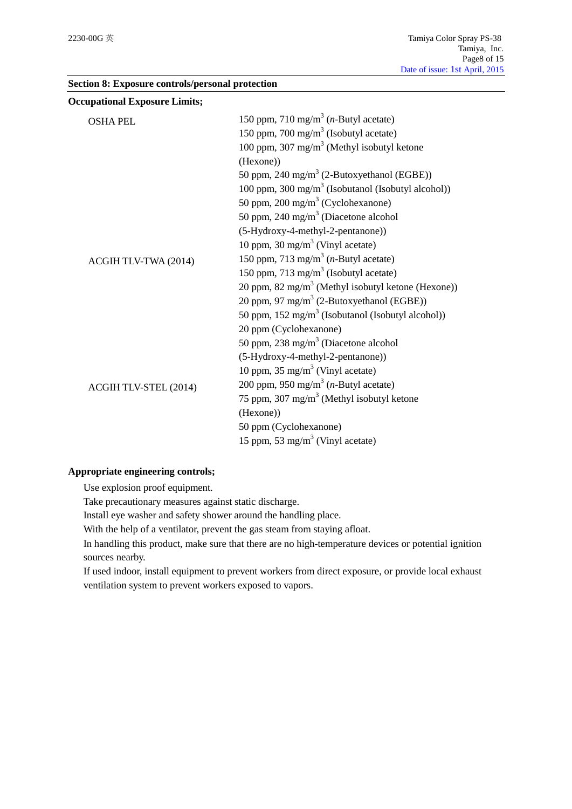|  |  |  |  |  | Section 8: Exposure controls/personal protection |
|--|--|--|--|--|--------------------------------------------------|
|--|--|--|--|--|--------------------------------------------------|

| <b>OSHA PEL</b>       | 150 ppm, 710 mg/m <sup>3</sup> ( <i>n</i> -Butyl acetate)      |  |  |
|-----------------------|----------------------------------------------------------------|--|--|
|                       | 150 ppm, 700 mg/m <sup>3</sup> (Isobutyl acetate)              |  |  |
|                       | 100 ppm, 307 mg/m <sup>3</sup> (Methyl isobutyl ketone         |  |  |
|                       | (Hexone))                                                      |  |  |
|                       | 50 ppm, 240 mg/m <sup>3</sup> (2-Butoxyethanol (EGBE))         |  |  |
|                       | 100 ppm, 300 mg/m <sup>3</sup> (Isobutanol (Isobutyl alcohol)) |  |  |
|                       | 50 ppm, 200 mg/m <sup>3</sup> (Cyclohexanone)                  |  |  |
|                       | 50 ppm, 240 mg/m <sup>3</sup> (Diacetone alcohol               |  |  |
|                       | (5-Hydroxy-4-methyl-2-pentanone))                              |  |  |
|                       | 10 ppm, 30 mg/m <sup>3</sup> (Vinyl acetate)                   |  |  |
| ACGIH TLV-TWA (2014)  | 150 ppm, 713 mg/m <sup>3</sup> ( <i>n</i> -Butyl acetate)      |  |  |
|                       | 150 ppm, 713 mg/m <sup>3</sup> (Isobutyl acetate)              |  |  |
|                       | 20 ppm, 82 mg/m <sup>3</sup> (Methyl isobutyl ketone (Hexone)) |  |  |
|                       | 20 ppm, 97 mg/m <sup>3</sup> (2-Butoxyethanol (EGBE))          |  |  |
|                       | 50 ppm, 152 mg/m <sup>3</sup> (Isobutanol (Isobutyl alcohol))  |  |  |
|                       | 20 ppm (Cyclohexanone)                                         |  |  |
|                       | 50 ppm, 238 mg/m <sup>3</sup> (Diacetone alcohol               |  |  |
|                       | (5-Hydroxy-4-methyl-2-pentanone))                              |  |  |
|                       | 10 ppm, $35 \text{ mg/m}^3$ (Vinyl acetate)                    |  |  |
| ACGIH TLV-STEL (2014) | 200 ppm, 950 mg/m <sup>3</sup> ( <i>n</i> -Butyl acetate)      |  |  |
|                       | 75 ppm, 307 mg/m <sup>3</sup> (Methyl isobutyl ketone          |  |  |
|                       | (Hexone))                                                      |  |  |
|                       | 50 ppm (Cyclohexanone)                                         |  |  |
|                       | 15 ppm, 53 mg/m <sup>3</sup> (Vinyl acetate)                   |  |  |

# **Appropriate engineering controls;**

Use explosion proof equipment.

Take precautionary measures against static discharge.

Install eye washer and safety shower around the handling place.

With the help of a ventilator, prevent the gas steam from staying afloat.

In handling this product, make sure that there are no high-temperature devices or potential ignition sources nearby.

If used indoor, install equipment to prevent workers from direct exposure, or provide local exhaust ventilation system to prevent workers exposed to vapors.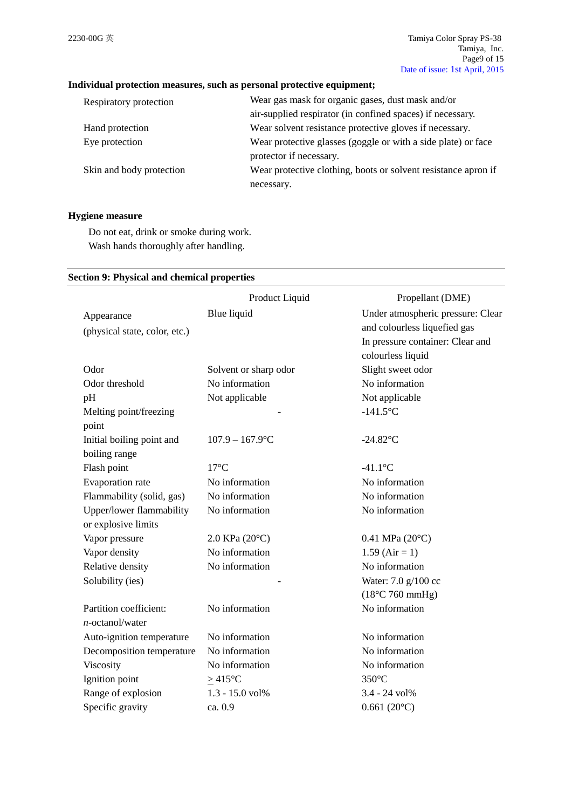# **Individual protection measures, such as personal protective equipment;**

| Respiratory protection   | Wear gas mask for organic gases, dust mask and/or              |  |
|--------------------------|----------------------------------------------------------------|--|
|                          | air-supplied respirator (in confined spaces) if necessary.     |  |
| Hand protection          | Wear solvent resistance protective gloves if necessary.        |  |
| Eye protection           | Wear protective glasses (goggle or with a side plate) or face  |  |
|                          | protector if necessary.                                        |  |
| Skin and body protection | Wear protective clothing, boots or solvent resistance apron if |  |
|                          | necessary.                                                     |  |

# **Hygiene measure**

Do not eat, drink or smoke during work. Wash hands thoroughly after handling.

## **Section 9: Physical and chemical properties**

|                               | Product Liquid        | Propellant (DME)                  |
|-------------------------------|-----------------------|-----------------------------------|
| Appearance                    | Blue liquid           | Under atmospheric pressure: Clear |
| (physical state, color, etc.) |                       | and colourless liquefied gas      |
|                               |                       | In pressure container: Clear and  |
|                               |                       | colourless liquid                 |
| Odor                          | Solvent or sharp odor | Slight sweet odor                 |
| Odor threshold                | No information        | No information                    |
| pH                            | Not applicable        | Not applicable                    |
| Melting point/freezing        |                       | $-141.5$ °C                       |
| point                         |                       |                                   |
| Initial boiling point and     | $107.9 - 167.9$ °C    | $-24.82$ °C                       |
| boiling range                 |                       |                                   |
| Flash point                   | $17^{\circ}$ C        | $-41.1$ °C                        |
| Evaporation rate              | No information        | No information                    |
| Flammability (solid, gas)     | No information        | No information                    |
| Upper/lower flammability      | No information        | No information                    |
| or explosive limits           |                       |                                   |
| Vapor pressure                | 2.0 KPa (20°C)        | $0.41$ MPa $(20^{\circ}C)$        |
| Vapor density                 | No information        | $1.59$ (Air = 1)                  |
| Relative density              | No information        | No information                    |
| Solubility (ies)              |                       | Water: 7.0 g/100 cc               |
|                               |                       | $(18^{\circ}$ C 760 mmHg)         |
| Partition coefficient:        | No information        | No information                    |
| $n$ -octanol/water            |                       |                                   |
| Auto-ignition temperature     | No information        | No information                    |
| Decomposition temperature     | No information        | No information                    |
| Viscosity                     | No information        | No information                    |
| Ignition point                | $\geq$ 415°C          | 350°C                             |
| Range of explosion            | 1.3 - 15.0 vol%       | 3.4 - 24 vol%                     |
| Specific gravity              | ca. 0.9               | $0.661(20^{\circ}C)$              |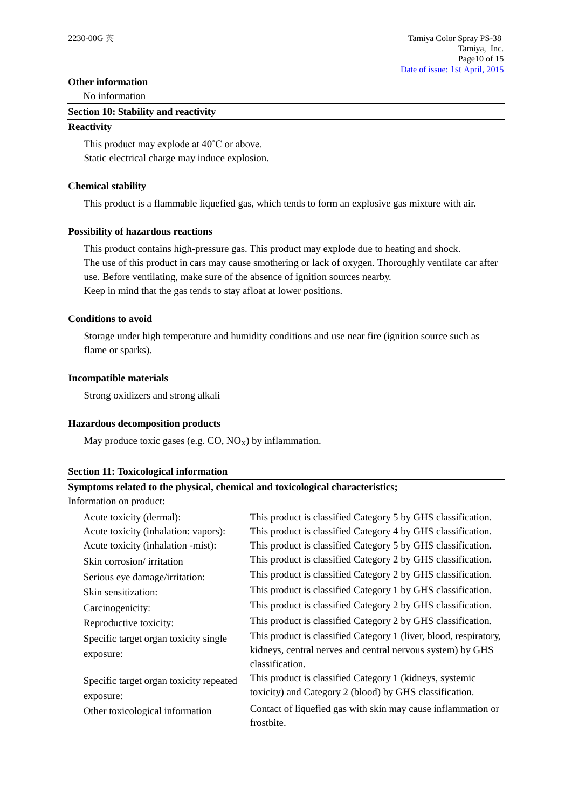## **Other information**

No information

#### **Section 10: Stability and reactivity**

#### **Reactivity**

This product may explode at 40˚C or above. Static electrical charge may induce explosion.

## **Chemical stability**

This product is a flammable liquefied gas, which tends to form an explosive gas mixture with air.

## **Possibility of hazardous reactions**

This product contains high-pressure gas. This product may explode due to heating and shock. The use of this product in cars may cause smothering or lack of oxygen. Thoroughly ventilate car after use. Before ventilating, make sure of the absence of ignition sources nearby. Keep in mind that the gas tends to stay afloat at lower positions.

## **Conditions to avoid**

Storage under high temperature and humidity conditions and use near fire (ignition source such as flame or sparks).

## **Incompatible materials**

Strong oxidizers and strong alkali

## **Hazardous decomposition products**

May produce toxic gases (e.g.  $CO$ ,  $NO_X$ ) by inflammation.

## **Section 11: Toxicological information**

# **Symptoms related to the physical, chemical and toxicological characteristics;**

Information on product:

| This product is classified Category 5 by GHS classification.      |
|-------------------------------------------------------------------|
| This product is classified Category 4 by GHS classification.      |
| This product is classified Category 5 by GHS classification.      |
| This product is classified Category 2 by GHS classification.      |
| This product is classified Category 2 by GHS classification.      |
| This product is classified Category 1 by GHS classification.      |
| This product is classified Category 2 by GHS classification.      |
| This product is classified Category 2 by GHS classification.      |
| This product is classified Category 1 (liver, blood, respiratory, |
| kidneys, central nerves and central nervous system) by GHS        |
| classification.                                                   |
| This product is classified Category 1 (kidneys, systemic          |
| toxicity) and Category 2 (blood) by GHS classification.           |
| Contact of liquefied gas with skin may cause inflammation or      |
| frostbite.                                                        |
|                                                                   |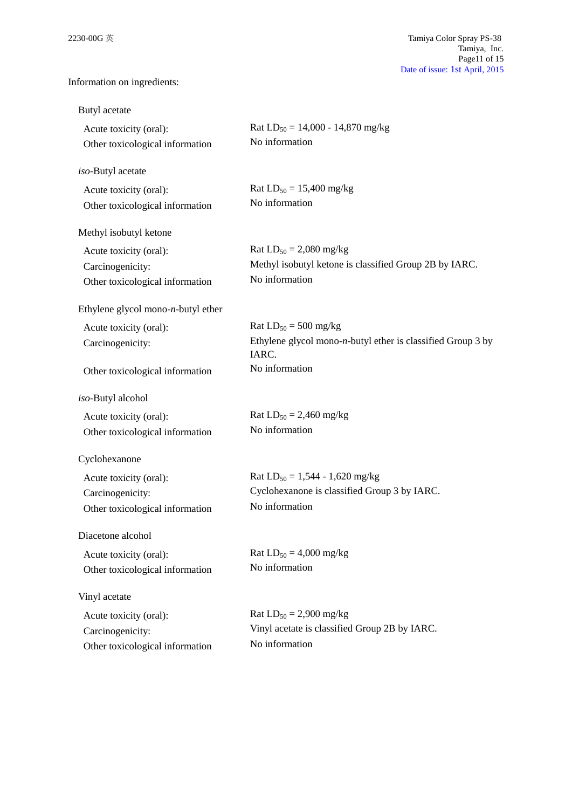Information on ingredients:

| Butyl acetate                                                                 |                                                                                                         |
|-------------------------------------------------------------------------------|---------------------------------------------------------------------------------------------------------|
| Acute toxicity (oral):<br>Other toxicological information                     | Rat $LD_{50} = 14,000 - 14,870$ mg/kg<br>No information                                                 |
| iso-Butyl acetate                                                             |                                                                                                         |
| Acute toxicity (oral):<br>Other toxicological information                     | Rat $LD_{50} = 15,400$ mg/kg<br>No information                                                          |
| Methyl isobutyl ketone                                                        |                                                                                                         |
| Acute toxicity (oral):<br>Carcinogenicity:<br>Other toxicological information | Rat $LD_{50} = 2,080$ mg/kg<br>Methyl isobutyl ketone is classified Group 2B by IARC.<br>No information |
| Ethylene glycol mono- $n$ -butyl ether                                        |                                                                                                         |
| Acute toxicity (oral):<br>Carcinogenicity:                                    | Rat $LD_{50} = 500$ mg/kg<br>Ethylene glycol mono- $n$ -butyl ether is classified Group 3 by<br>IARC.   |
| Other toxicological information                                               | No information                                                                                          |
| iso-Butyl alcohol                                                             |                                                                                                         |
| Acute toxicity (oral):<br>Other toxicological information                     | Rat $LD_{50} = 2,460$ mg/kg<br>No information                                                           |
| Cyclohexanone                                                                 |                                                                                                         |
| Acute toxicity (oral):<br>Carcinogenicity:<br>Other toxicological information | Rat $LD_{50} = 1,544 - 1,620$ mg/kg<br>Cyclohexanone is classified Group 3 by IARC.<br>No information   |
| Diacetone alcohol                                                             |                                                                                                         |
| Acute toxicity (oral):<br>Other toxicological information                     | Rat $LD_{50} = 4,000$ mg/kg<br>No information                                                           |
| Vinyl acetate                                                                 |                                                                                                         |
| Acute toxicity (oral):<br>Carcinogenicity:<br>Other toxicological information | Rat $LD_{50} = 2,900$ mg/kg<br>Vinyl acetate is classified Group 2B by IARC.<br>No information          |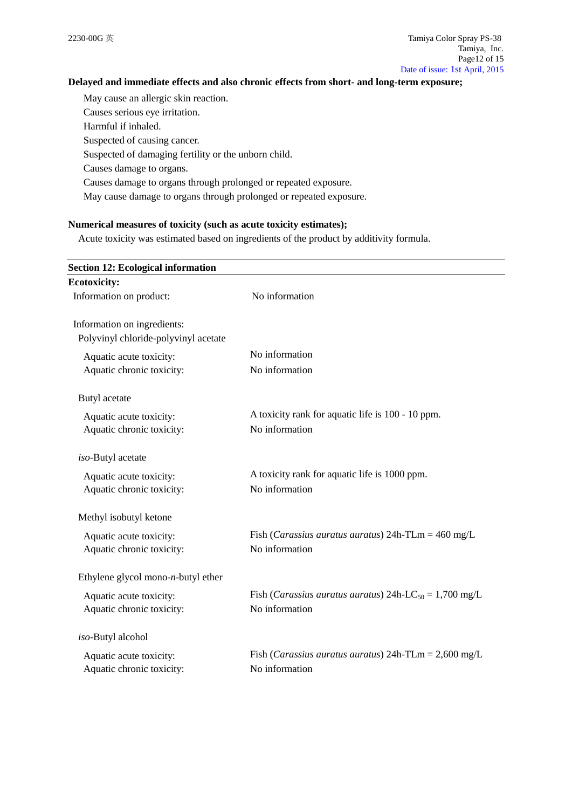# **Delayed and immediate effects and also chronic effects from short- and long-term exposure;**

May cause an allergic skin reaction. Causes serious eye irritation. Harmful if inhaled. Suspected of causing cancer. Suspected of damaging fertility or the unborn child.

Causes damage to organs.

Causes damage to organs through prolonged or repeated exposure.

May cause damage to organs through prolonged or repeated exposure.

## **Numerical measures of toxicity (such as acute toxicity estimates);**

Acute toxicity was estimated based on ingredients of the product by additivity formula.

| <b>Section 12: Ecological information</b> |                                                                             |
|-------------------------------------------|-----------------------------------------------------------------------------|
| <b>Ecotoxicity:</b>                       |                                                                             |
| Information on product:                   | No information                                                              |
| Information on ingredients:               |                                                                             |
| Polyvinyl chloride-polyvinyl acetate      |                                                                             |
| Aquatic acute toxicity:                   | No information                                                              |
| Aquatic chronic toxicity:                 | No information                                                              |
| Butyl acetate                             |                                                                             |
| Aquatic acute toxicity:                   | A toxicity rank for aquatic life is 100 - 10 ppm.                           |
| Aquatic chronic toxicity:                 | No information                                                              |
| iso-Butyl acetate                         |                                                                             |
| Aquatic acute toxicity:                   | A toxicity rank for aquatic life is 1000 ppm.                               |
| Aquatic chronic toxicity:                 | No information                                                              |
| Methyl isobutyl ketone                    |                                                                             |
| Aquatic acute toxicity:                   | Fish ( <i>Carassius auratus auratus</i> ) 24h-TLm = $460 \text{ mg/L}$      |
| Aquatic chronic toxicity:                 | No information                                                              |
| Ethylene glycol mono- $n$ -butyl ether    |                                                                             |
| Aquatic acute toxicity:                   | Fish ( <i>Carassius auratus auratus</i> ) 24h-LC <sub>50</sub> = 1,700 mg/L |
| Aquatic chronic toxicity:                 | No information                                                              |
| iso-Butyl alcohol                         |                                                                             |
| Aquatic acute toxicity:                   | Fish (Carassius auratus auratus) 24h-TLm = $2,600$ mg/L                     |
| Aquatic chronic toxicity:                 | No information                                                              |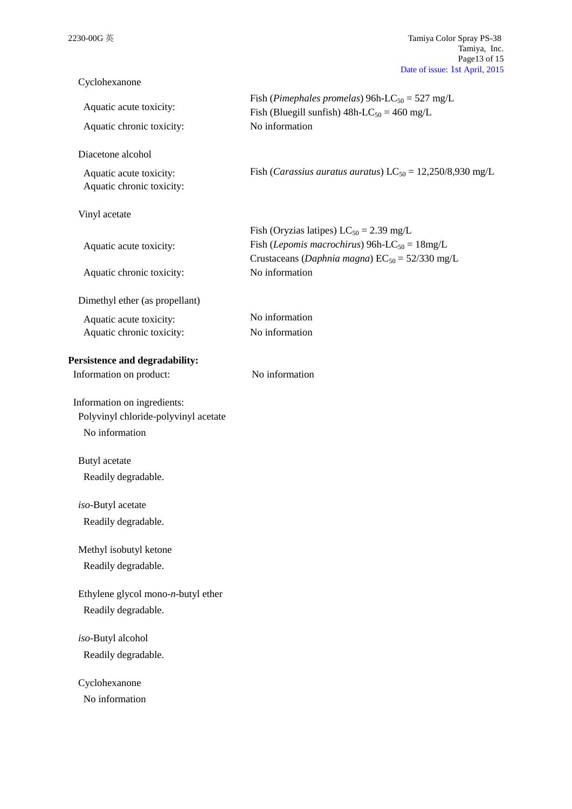| Cyclohexanone                                                                         |                                                                                                                                                                   |
|---------------------------------------------------------------------------------------|-------------------------------------------------------------------------------------------------------------------------------------------------------------------|
| Aquatic acute toxicity:                                                               | Fish (Pimephales promelas) 96h-LC <sub>50</sub> = 527 mg/L<br>Fish (Bluegill sunfish) $48h$ -LC <sub>50</sub> = 460 mg/L                                          |
| Aquatic chronic toxicity:                                                             | No information                                                                                                                                                    |
| Diacetone alcohol                                                                     |                                                                                                                                                                   |
| Aquatic acute toxicity:<br>Aquatic chronic toxicity:                                  | Fish ( <i>Carassius auratus auratus</i> ) $LC_{50} = 12,250/8,930$ mg/L                                                                                           |
| Vinyl acetate                                                                         |                                                                                                                                                                   |
| Aquatic acute toxicity:                                                               | Fish (Oryzias latipes) $LC_{50} = 2.39$ mg/L<br>Fish (Lepomis macrochirus) 96h-LC <sub>50</sub> = $18mg/L$<br>Crustaceans (Daphnia magna) $EC_{50} = 52/330$ mg/L |
| Aquatic chronic toxicity:                                                             | No information                                                                                                                                                    |
| Dimethyl ether (as propellant)                                                        |                                                                                                                                                                   |
| Aquatic acute toxicity:                                                               | No information                                                                                                                                                    |
| Aquatic chronic toxicity:                                                             | No information                                                                                                                                                    |
| Persistence and degradability:                                                        |                                                                                                                                                                   |
| Information on product:                                                               | No information                                                                                                                                                    |
| Information on ingredients:<br>Polyvinyl chloride-polyvinyl acetate<br>No information |                                                                                                                                                                   |
| Butyl acetate                                                                         |                                                                                                                                                                   |
| Readily degradable.                                                                   |                                                                                                                                                                   |
| iso-Butyl acetate                                                                     |                                                                                                                                                                   |
| Readily degradable.                                                                   |                                                                                                                                                                   |
| Methyl isobutyl ketone                                                                |                                                                                                                                                                   |
| Readily degradable.                                                                   |                                                                                                                                                                   |
| Ethylene glycol mono-n-butyl ether                                                    |                                                                                                                                                                   |
| Readily degradable.                                                                   |                                                                                                                                                                   |
| iso-Butyl alcohol                                                                     |                                                                                                                                                                   |
| Readily degradable.                                                                   |                                                                                                                                                                   |
| Cyclohexanone                                                                         |                                                                                                                                                                   |
| No information                                                                        |                                                                                                                                                                   |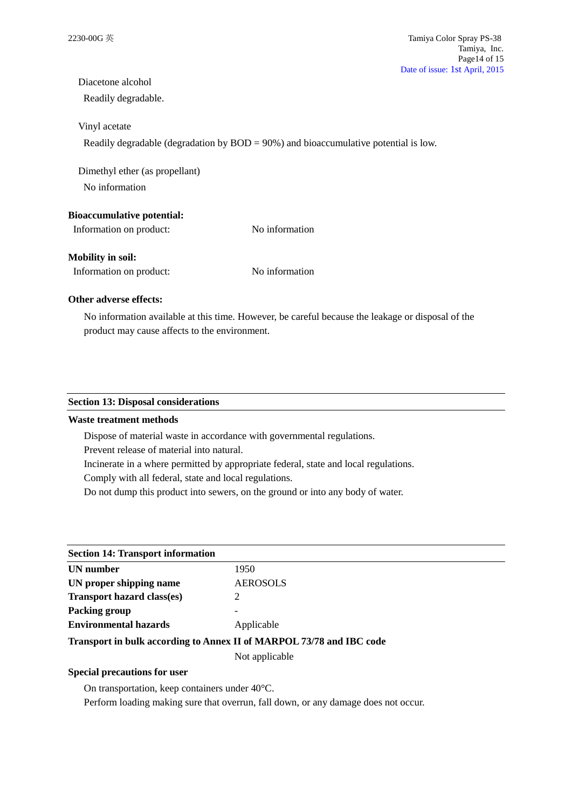# Diacetone alcohol

Readily degradable.

## Vinyl acetate

Readily degradable (degradation by BOD = 90%) and bioaccumulative potential is low.

Dimethyl ether (as propellant) No information

## **Bioaccumulative potential:**

Information on product: No information

## **Mobility in soil:**

Information on product: No information

# **Other adverse effects:**

No information available at this time. However, be careful because the leakage or disposal of the product may cause affects to the environment.

## **Section 13: Disposal considerations**

## **Waste treatment methods**

Dispose of material waste in accordance with governmental regulations.

Prevent release of material into natural.

Incinerate in a where permitted by appropriate federal, state and local regulations.

Comply with all federal, state and local regulations.

Do not dump this product into sewers, on the ground or into any body of water.

| <b>Section 14: Transport information</b>                             |                 |  |
|----------------------------------------------------------------------|-----------------|--|
| UN number                                                            | 1950            |  |
| UN proper shipping name                                              | <b>AEROSOLS</b> |  |
| <b>Transport hazard class(es)</b>                                    |                 |  |
| Packing group                                                        |                 |  |
| <b>Environmental hazards</b>                                         | Applicable      |  |
| Transport in bulk according to Annex II of MARPOL 73/78 and IBC code |                 |  |

Not applicable

## **Special precautions for user**

On transportation, keep containers under 40°C.

Perform loading making sure that overrun, fall down, or any damage does not occur.